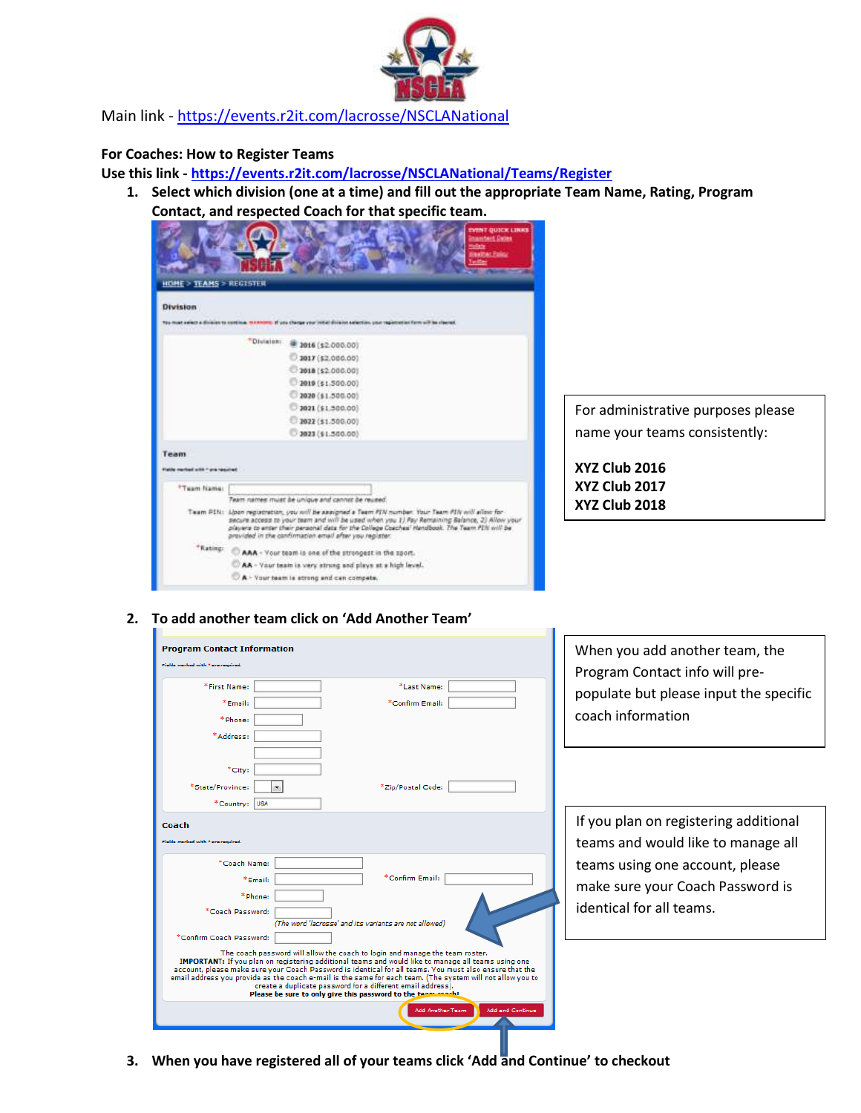

Main link - <https://events.r2it.com/lacrosse/NSCLANational>

## **For Coaches: How to Register Teams**

**Use this link - <https://events.r2it.com/lacrosse/NSCLANational/Teams/Register>**

**1. Select which division (one at a time) and fill out the appropriate Team Name, Rating, Program Contact, and respected Coach for that specific team.**

|                                      | EVENT-DUICK LINKS                                                                                                                                                                                                                                                                                                                                              |
|--------------------------------------|----------------------------------------------------------------------------------------------------------------------------------------------------------------------------------------------------------------------------------------------------------------------------------------------------------------------------------------------------------------|
|                                      | <b>Imainbent Detes</b>                                                                                                                                                                                                                                                                                                                                         |
|                                      | <b>Constitues Province</b>                                                                                                                                                                                                                                                                                                                                     |
|                                      |                                                                                                                                                                                                                                                                                                                                                                |
| <b>HOME &gt; TEAMS &gt; REGISTER</b> |                                                                                                                                                                                                                                                                                                                                                                |
| <b>Division</b>                      |                                                                                                                                                                                                                                                                                                                                                                |
|                                      | Too must select a division to continue, to network. If you change your initial division selection, your registration from sell be cleared.                                                                                                                                                                                                                     |
|                                      |                                                                                                                                                                                                                                                                                                                                                                |
|                                      | "Division: @ 2016 (\$2,000.00)                                                                                                                                                                                                                                                                                                                                 |
|                                      | 3017(52,000,00)                                                                                                                                                                                                                                                                                                                                                |
|                                      | 2018 (\$2,000.00)                                                                                                                                                                                                                                                                                                                                              |
|                                      | 2019 (\$1,500.00)                                                                                                                                                                                                                                                                                                                                              |
|                                      | 2020 (\$1,500.00)                                                                                                                                                                                                                                                                                                                                              |
|                                      | 3021 (\$1,500.00)                                                                                                                                                                                                                                                                                                                                              |
|                                      | 3022 (11.500.00)                                                                                                                                                                                                                                                                                                                                               |
|                                      | 3023(11.500.00)                                                                                                                                                                                                                                                                                                                                                |
| Team                                 |                                                                                                                                                                                                                                                                                                                                                                |
| Fields method with 1 are hearings    |                                                                                                                                                                                                                                                                                                                                                                |
|                                      |                                                                                                                                                                                                                                                                                                                                                                |
| <sup>8</sup> Team Name:              |                                                                                                                                                                                                                                                                                                                                                                |
|                                      | Team names must be unique and cannot be reused.                                                                                                                                                                                                                                                                                                                |
|                                      | Team Pthi: Lipon registration, you will be sawjoned a Team PIN number. Your Team PIN will allow for-<br>secure access to your team and will be used when you II Fay Remaining Balance, 2) Allow your<br>players to enter their personal data for the College Cosches' Nandbook. The Team PIN will be<br>provided in the confirmation email after you register. |
|                                      | *Rating: CAAA - Your team is one of the strongest in the sport.                                                                                                                                                                                                                                                                                                |
|                                      | AA - Vaur team is very strong and plays at a high level.                                                                                                                                                                                                                                                                                                       |
|                                      | A - Your team is strong and can compete.                                                                                                                                                                                                                                                                                                                       |

For administrative purposes please name your teams consistently:

**XYZ Club 2016 XYZ Club 2017 XYZ Club 2018**

## **2. To add another team click on 'Add Another Team'**

| <b>Program Contact Information</b> |                                                                                                                                                                                                                |   |
|------------------------------------|----------------------------------------------------------------------------------------------------------------------------------------------------------------------------------------------------------------|---|
| Fields merked with * era required. |                                                                                                                                                                                                                | P |
| *First Name:                       | *Last Name:                                                                                                                                                                                                    |   |
| *Email:                            | *Confirm Email:                                                                                                                                                                                                | р |
| *Phone:                            |                                                                                                                                                                                                                |   |
| *Address:                          |                                                                                                                                                                                                                |   |
|                                    |                                                                                                                                                                                                                |   |
| *City:                             |                                                                                                                                                                                                                |   |
| *State/Province:                   | *Zip/Postal Code:                                                                                                                                                                                              |   |
| *Country:<br><b>USA</b>            |                                                                                                                                                                                                                |   |
| Coach                              |                                                                                                                                                                                                                |   |
| Fields merked with * era required. |                                                                                                                                                                                                                |   |
|                                    |                                                                                                                                                                                                                |   |
| *Coach Name:                       | *Confirm Email:                                                                                                                                                                                                |   |
| *Email:                            |                                                                                                                                                                                                                |   |
| *Phone:<br>*Coach Password:        |                                                                                                                                                                                                                |   |
|                                    | (The word 'lacrosse' and its variants are not allowed)                                                                                                                                                         |   |
| *Confirm Coach Password:           |                                                                                                                                                                                                                |   |
|                                    | The coach password will allow the coach to login and manage the team roster.                                                                                                                                   |   |
|                                    | IMPORTANT: If you plan on registering additional teams and would like to manage all teams using one<br>account, please make sure your Coach Password is identical for all teams. You must also ensure that the |   |
|                                    | email address you provide as the coach e-mail is the same for each team. (The system will not allow you to<br>create a duplicate password for a different email address).                                      |   |
|                                    | Please be sure to only give this password to the team coach!                                                                                                                                                   |   |
|                                    | Add and Continue<br>Add Another Team                                                                                                                                                                           |   |

When you add another team, the Program Contact info will preopulate but please input the specific coach information

f you plan on registering additional eams and would like to manage all eams using one account, please make sure your Coach Password is dentical for all teams.

**3. When you have registered all of your teams click 'Add and Continue' to checkout**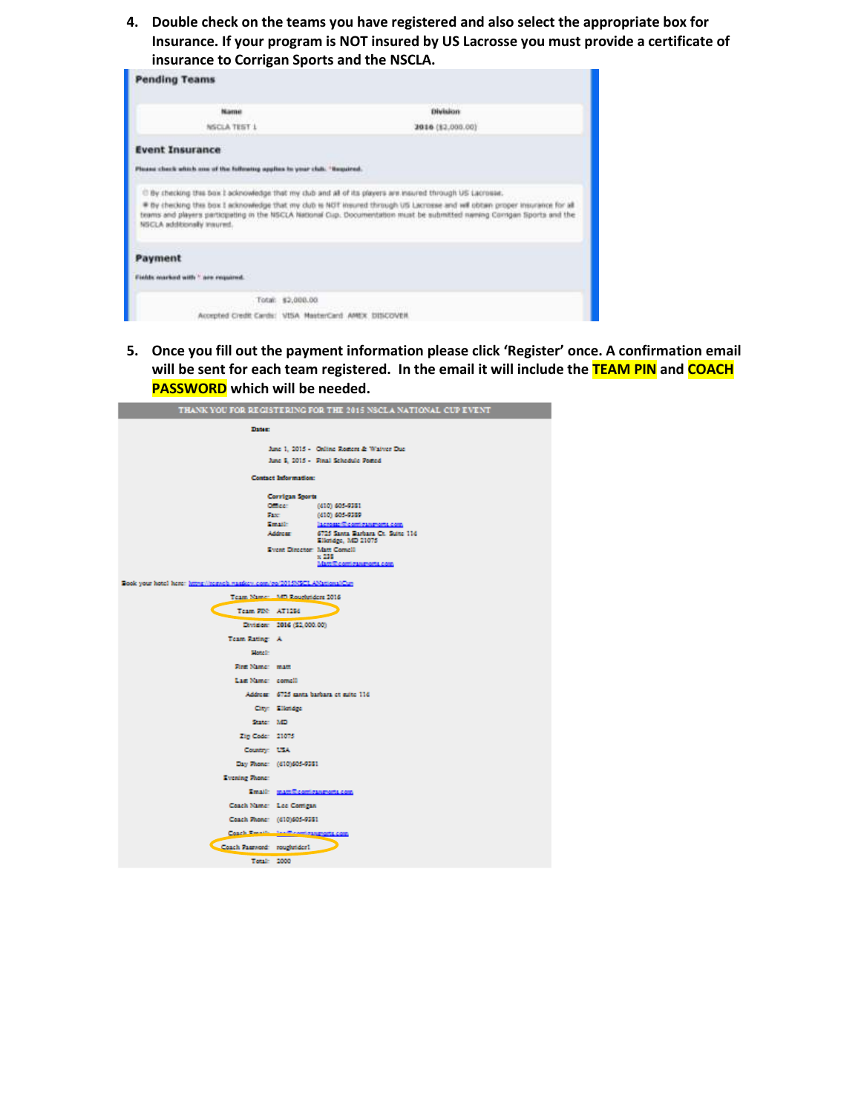**4. Double check on the teams you have registered and also select the appropriate box for Insurance. If your program is NOT insured by US Lacrosse you must provide a certificate of insurance to Corrigan Sports and the NSCLA.**

| <b>Pending Teams</b>                                                                                                                     |                                                                                                                                                                                                                                                          |  |  |
|------------------------------------------------------------------------------------------------------------------------------------------|----------------------------------------------------------------------------------------------------------------------------------------------------------------------------------------------------------------------------------------------------------|--|--|
| Name                                                                                                                                     | <b>Division</b>                                                                                                                                                                                                                                          |  |  |
| NSCLA TEST 1<br>Withfield                                                                                                                | 2010 (12,000.00)                                                                                                                                                                                                                                         |  |  |
| <b>Event Insurance</b>                                                                                                                   |                                                                                                                                                                                                                                                          |  |  |
| Please check which one of the following applies to your club. "Bequired.                                                                 |                                                                                                                                                                                                                                                          |  |  |
| C By checking this box I acknowledge that my club and all of its players are insured through US Lacrosse.<br>NSCLA additionally insured. | * By checking this box I acknowledge that my club is NOT insured through US Lacrosse and will obtain proper insurance for all<br>teams and players participating in the NSCLA National Cup. Documentation must be submitted naming Comgan Sports and the |  |  |
| Payment                                                                                                                                  |                                                                                                                                                                                                                                                          |  |  |
| Fields marked with " are required.                                                                                                       |                                                                                                                                                                                                                                                          |  |  |
| Total: \$2,000.00                                                                                                                        |                                                                                                                                                                                                                                                          |  |  |
| Accepted Credit Cardic: VISA MasterCard. AMEX DISCOVER.                                                                                  |                                                                                                                                                                                                                                                          |  |  |

**5. Once you fill out the payment information please click 'Register' once. A confirmation email will be sent for each team registered. In the email it will include the TEAM PIN and COACH PASSWORD which will be needed.**

| THANK YOU FOR REGISTERING FOR THE 2015 NSCLA NATIONAL CUP EVENT          |                                |                                                        |  |  |  |  |
|--------------------------------------------------------------------------|--------------------------------|--------------------------------------------------------|--|--|--|--|
| <b>Dates:</b>                                                            |                                |                                                        |  |  |  |  |
|                                                                          |                                | June 1, 2015 - Online Rosters & Waiver Due             |  |  |  |  |
|                                                                          |                                | June 5, 2015 - Final Schedule Posted                   |  |  |  |  |
| Contact Information:                                                     |                                |                                                        |  |  |  |  |
| Corrigan Sports                                                          |                                |                                                        |  |  |  |  |
|                                                                          | Officer:                       | (410) 605-9381                                         |  |  |  |  |
| Fax:                                                                     | Email:                         | (410) 605-9389<br>la crossofficontiga senoria com-     |  |  |  |  |
|                                                                          | Address:                       | 6725 Santa Barbara Ct. Suite 11d<br>Elkridge, MD 21075 |  |  |  |  |
|                                                                          |                                | Event Director: Matt Cornell                           |  |  |  |  |
|                                                                          |                                | $\times$ 238<br>Mattill contiguagents com              |  |  |  |  |
| Book your hotel here: https://regueb.rugger.com/co/2015065CLANationalCun |                                |                                                        |  |  |  |  |
| Team Name: Mill Roughsiders 2016                                         |                                |                                                        |  |  |  |  |
| Team PDC AT1286                                                          |                                |                                                        |  |  |  |  |
|                                                                          | Division: 2016 (\$2,000.00)    |                                                        |  |  |  |  |
| Team Rating A                                                            |                                |                                                        |  |  |  |  |
| <b>District</b>                                                          |                                |                                                        |  |  |  |  |
| First Name: matt                                                         |                                |                                                        |  |  |  |  |
| Last Name: comell                                                        |                                |                                                        |  |  |  |  |
|                                                                          |                                | Address 6725 mots barbars et mite 11d                  |  |  |  |  |
|                                                                          | City: Elistides                |                                                        |  |  |  |  |
| State: MD                                                                |                                |                                                        |  |  |  |  |
| Zip Code: 21075                                                          |                                |                                                        |  |  |  |  |
| Country: USA                                                             |                                |                                                        |  |  |  |  |
| Day Phone: (410)605-9381                                                 |                                |                                                        |  |  |  |  |
| Evening Prene:                                                           |                                |                                                        |  |  |  |  |
|                                                                          | Email: mattiliconicanments.com |                                                        |  |  |  |  |
| Coach Name: Lee Corrigan                                                 |                                |                                                        |  |  |  |  |
| Coach Phone: (410)605-9381                                               |                                |                                                        |  |  |  |  |
| Coach Smalls, Sanfficent response com-                                   |                                |                                                        |  |  |  |  |
| Coach Password: roughsider1                                              |                                |                                                        |  |  |  |  |
| Total: 2000                                                              |                                |                                                        |  |  |  |  |